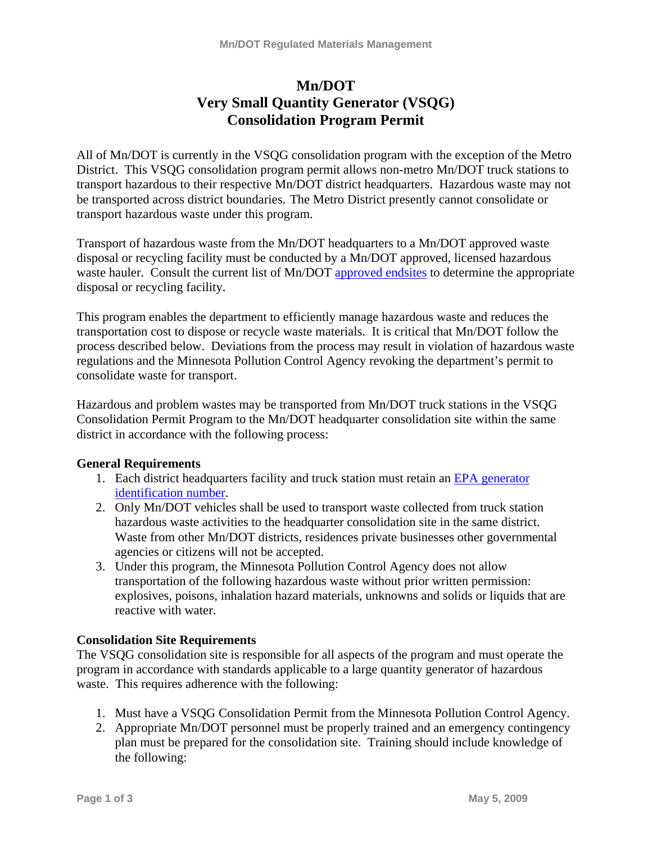# **Mn/DOT Very Small Quantity Generator (VSQG) Consolidation Program Permit**

All of Mn/DOT is currently in the VSQG consolidation program with the exception of the Metro District. This VSQG consolidation program permit allows non-metro Mn/DOT truck stations to transport hazardous to their respective Mn/DOT district headquarters. Hazardous waste may not be transported across district boundaries. The Metro District presently cannot consolidate or transport hazardous waste under this program.

Transport of hazardous waste from the Mn/DOT headquarters to a Mn/DOT approved waste disposal or recycling facility must be conducted by a Mn/DOT approved, licensed hazardous waste hauler. Consult the current list of Mn/DOT [approved endsites](http://www.dot.state.mn.us/environment/regulated-materials/pdf/waste-contractors.pdf) to determine the appropriate disposal or recycling facility.

This program enables the department to efficiently manage hazardous waste and reduces the transportation cost to dispose or recycle waste materials. It is critical that Mn/DOT follow the process described below. Deviations from the process may result in violation of hazardous waste regulations and the Minnesota Pollution Control Agency revoking the department's permit to consolidate waste for transport.

Hazardous and problem wastes may be transported from Mn/DOT truck stations in the VSQG Consolidation Permit Program to the Mn/DOT headquarter consolidation site within the same district in accordance with the following process:

# **General Requirements**

- 1. Each district headquarters facility and truck station must retain an [EPA generator](http://www.dot.state.mn.us/environment/regulated-materials/pdf/rwm/section-12.pdf)  [identification number.](http://www.dot.state.mn.us/environment/regulated-materials/pdf/rwm/section-12.pdf)
- 2. Only Mn/DOT vehicles shall be used to transport waste collected from truck station hazardous waste activities to the headquarter consolidation site in the same district. Waste from other Mn/DOT districts, residences private businesses other governmental agencies or citizens will not be accepted.
- 3. Under this program, the Minnesota Pollution Control Agency does not allow transportation of the following hazardous waste without prior written permission: explosives, poisons, inhalation hazard materials, unknowns and solids or liquids that are reactive with water.

# **Consolidation Site Requirements**

The VSQG consolidation site is responsible for all aspects of the program and must operate the program in accordance with standards applicable to a large quantity generator of hazardous waste. This requires adherence with the following:

- 1. Must have a VSQG Consolidation Permit from the Minnesota Pollution Control Agency.
- 2. Appropriate Mn/DOT personnel must be properly trained and an emergency contingency plan must be prepared for the consolidation site. Training should include knowledge of the following: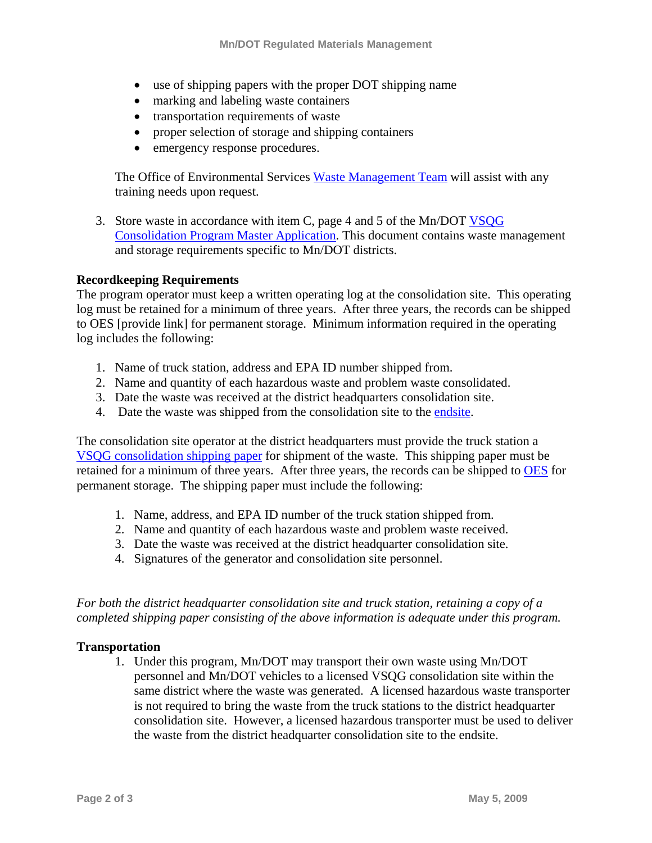- use of shipping papers with the proper DOT shipping name
- marking and labeling waste containers
- transportation requirements of waste
- proper selection of storage and shipping containers
- emergency response procedures.

The Office of Environmental Services [Waste Management Team](http://www.dot.state.mn.us/environment/regulated-materials/pdf/rwm/section-5.pdf) will assist with any training needs upon request.

3. Store waste in accordance with item C, page 4 and 5 of the Mn/DOT VSQG [Consolidation Program Master Application.](http://www.dot.state.mn.us/environment/regulated-materials/pdf/rwm/section-15-vsqg-consolidation.pdf) This document contains waste management and storage requirements specific to Mn/DOT districts.

# **Recordkeeping Requirements**

The program operator must keep a written operating log at the consolidation site. This operating log must be retained for a minimum of three years. After three years, the records can be shipped to OES [provide link] for permanent storage. Minimum information required in the operating log includes the following:

- 1. Name of truck station, address and EPA ID number shipped from.
- 2. Name and quantity of each hazardous waste and problem waste consolidated.
- 3. Date the waste was received at the district headquarters consolidation site.
- 4. Date the waste was shipped from the consolidation site to the [endsite.](http://www.dot.state.mn.us/environment/regulated-materials/pdf/waste-contractors.pdf)

The consolidation site operator at the district headquarters must provide the truck station a [VSQG consolidation shipping paper](http://www.dot.state.mn.us/environment/regulated-materials/pdf/rwm/section-15-vsqg-ship.pdf) for shipment of the waste. This shipping paper must be retained for a minimum of three years. After three years, the records can be shipped to [OES](http://www.dot.state.mn.us/environment/regulated-materials/pdf/rwm/section-5-contacts-.pdf) for permanent storage. The shipping paper must include the following:

- 1. Name, address, and EPA ID number of the truck station shipped from.
- 2. Name and quantity of each hazardous waste and problem waste received.
- 3. Date the waste was received at the district headquarter consolidation site.
- 4. Signatures of the generator and consolidation site personnel.

*For both the district headquarter consolidation site and truck station, retaining a copy of a completed shipping paper consisting of the above information is adequate under this program.* 

# **Transportation**

1. Under this program, Mn/DOT may transport their own waste using Mn/DOT personnel and Mn/DOT vehicles to a licensed VSQG consolidation site within the same district where the waste was generated. A licensed hazardous waste transporter is not required to bring the waste from the truck stations to the district headquarter consolidation site. However, a licensed hazardous transporter must be used to deliver the waste from the district headquarter consolidation site to the endsite.